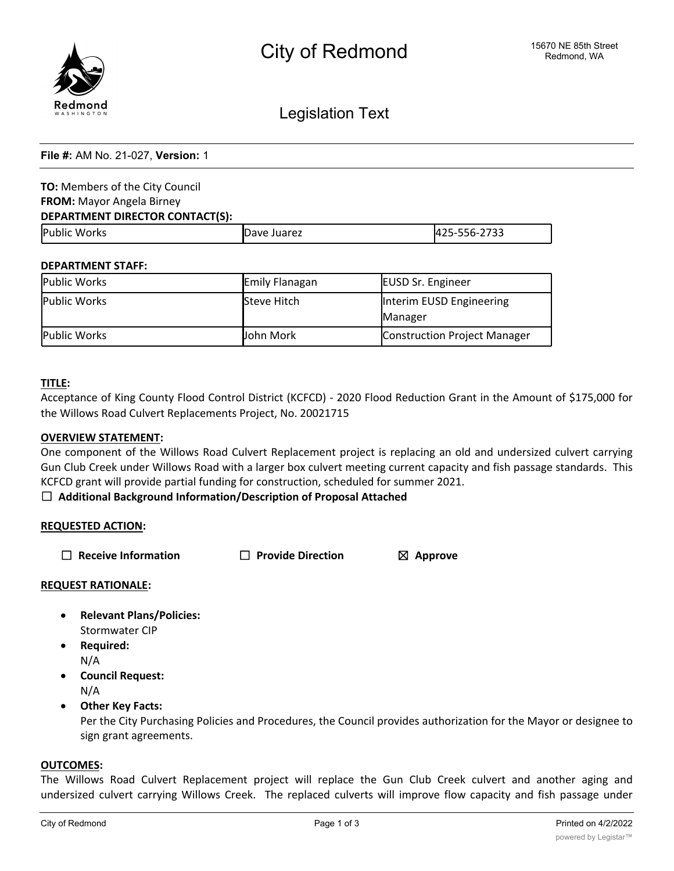

Legislation Text

|  |  |  |  | File #: AM No. 21-027, Version: 1 |  |
|--|--|--|--|-----------------------------------|--|
|--|--|--|--|-----------------------------------|--|

**TO:** Members of the City Council **FROM:** Mayor Angela Birney **DEPARTMENT DIRECTOR CONTACT(S):**

| Public<br>Works | Juarez<br>ave | $\sim$ $\sim$ $\sim$<br>42<br>--<br>ر ر _ |
|-----------------|---------------|-------------------------------------------|

# **DEPARTMENT STAFF:**

| Public Works         | Emily Flanagan     | <b>EUSD Sr. Engineer</b>                   |
|----------------------|--------------------|--------------------------------------------|
| <b>IPublic Works</b> | <b>Steve Hitch</b> | Interim EUSD Engineering<br><b>Manager</b> |
| <b>IPublic Works</b> | <b>John Mork</b>   | Construction Project Manager               |

# **TITLE:**

Acceptance of King County Flood Control District (KCFCD) - 2020 Flood Reduction Grant in the Amount of \$175,000 for the Willows Road Culvert Replacements Project, No. 20021715

# **OVERVIEW STATEMENT:**

One component of the Willows Road Culvert Replacement project is replacing an old and undersized culvert carrying Gun Club Creek under Willows Road with a larger box culvert meeting current capacity and fish passage standards. This KCFCD grant will provide partial funding for construction, scheduled for summer 2021.

☐ **Additional Background Information/Description of Proposal Attached**

# **REQUESTED ACTION:**

☐ **Receive Information** ☐ **Provide Direction** ☒ **Approve**

# **REQUEST RATIONALE:**

- · **Relevant Plans/Policies:** Stormwater CIP
- · **Required:** N/A
- · **Council Request:** N/A
- · **Other Key Facts:** Per the City Purchasing Policies and Procedures, the Council provides authorization for the Mayor or designee to sign grant agreements.

## **OUTCOMES:**

The Willows Road Culvert Replacement project will replace the Gun Club Creek culvert and another aging and undersized culvert carrying Willows Creek. The replaced culverts will improve flow capacity and fish passage under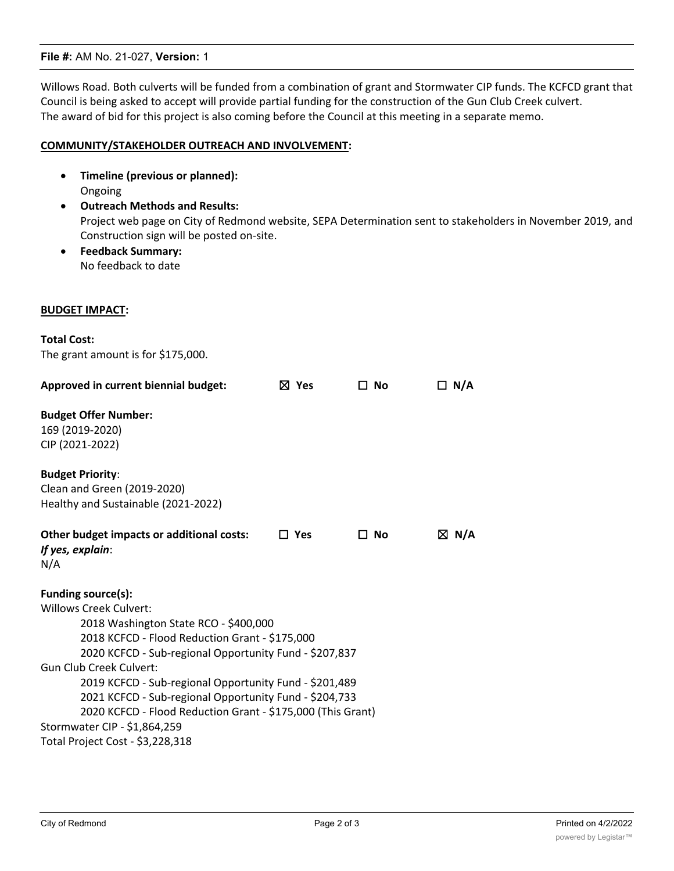# **File #:** AM No. 21-027, **Version:** 1

Willows Road. Both culverts will be funded from a combination of grant and Stormwater CIP funds. The KCFCD grant that Council is being asked to accept will provide partial funding for the construction of the Gun Club Creek culvert. The award of bid for this project is also coming before the Council at this meeting in a separate memo.

# **COMMUNITY/STAKEHOLDER OUTREACH AND INVOLVEMENT:**

- · **Timeline (previous or planned):** Ongoing
- · **Outreach Methods and Results:** Project web page on City of Redmond website, SEPA Determination sent to stakeholders in November 2019, and Construction sign will be posted on-site.
- · **Feedback Summary:** No feedback to date

## **BUDGET IMPACT:**

| <b>Total Cost:</b>                                                                                                                                                                                                                                                                                                                                                                                                                                                                                |                                                                    |                 |              |            |
|---------------------------------------------------------------------------------------------------------------------------------------------------------------------------------------------------------------------------------------------------------------------------------------------------------------------------------------------------------------------------------------------------------------------------------------------------------------------------------------------------|--------------------------------------------------------------------|-----------------|--------------|------------|
|                                                                                                                                                                                                                                                                                                                                                                                                                                                                                                   | The grant amount is for \$175,000.                                 |                 |              |            |
|                                                                                                                                                                                                                                                                                                                                                                                                                                                                                                   | Approved in current biennial budget:                               | $\boxtimes$ Yes | $\square$ No | $\Box$ N/A |
| 169 (2019-2020)<br>CIP (2021-2022)                                                                                                                                                                                                                                                                                                                                                                                                                                                                | <b>Budget Offer Number:</b>                                        |                 |              |            |
| <b>Budget Priority:</b>                                                                                                                                                                                                                                                                                                                                                                                                                                                                           | Clean and Green (2019-2020)<br>Healthy and Sustainable (2021-2022) |                 |              |            |
| If yes, explain:<br>N/A                                                                                                                                                                                                                                                                                                                                                                                                                                                                           | Other budget impacts or additional costs:                          | $\Box$ Yes      | $\square$ No | ⊠ N/A      |
| Funding source(s):<br><b>Willows Creek Culvert:</b><br>2018 Washington State RCO - \$400,000<br>2018 KCFCD - Flood Reduction Grant - \$175,000<br>2020 KCFCD - Sub-regional Opportunity Fund - \$207,837<br><b>Gun Club Creek Culvert:</b><br>2019 KCFCD - Sub-regional Opportunity Fund - \$201,489<br>2021 KCFCD - Sub-regional Opportunity Fund - \$204,733<br>2020 KCFCD - Flood Reduction Grant - \$175,000 (This Grant)<br>Stormwater CIP - \$1,864,259<br>Total Project Cost - \$3,228,318 |                                                                    |                 |              |            |